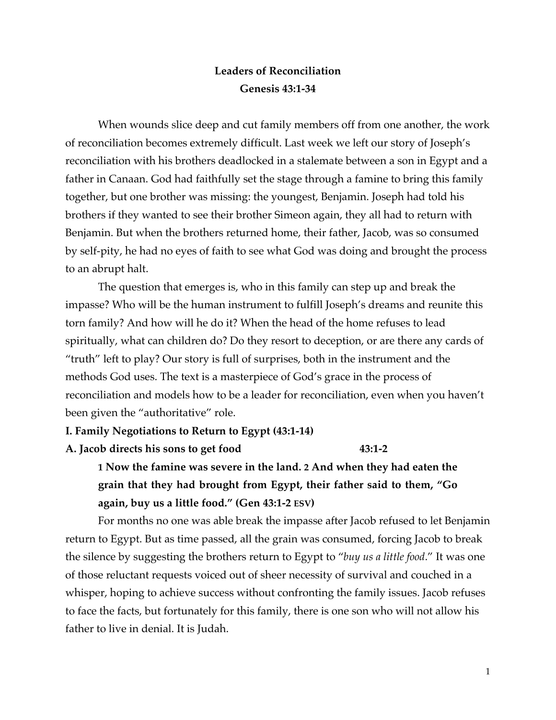# **Leaders of Reconciliation Genesis 43:1-34**

When wounds slice deep and cut family members off from one another, the work of reconciliation becomes extremely difficult. Last week we left our story of Joseph's reconciliation with his brothers deadlocked in a stalemate between a son in Egypt and a father in Canaan. God had faithfully set the stage through a famine to bring this family together, but one brother was missing: the youngest, Benjamin. Joseph had told his brothers if they wanted to see their brother Simeon again, they all had to return with Benjamin. But when the brothers returned home, their father, Jacob, was so consumed by self-pity, he had no eyes of faith to see what God was doing and brought the process to an abrupt halt.

The question that emerges is, who in this family can step up and break the impasse? Who will be the human instrument to fulfill Joseph's dreams and reunite this torn family? And how will he do it? When the head of the home refuses to lead spiritually, what can children do? Do they resort to deception, or are there any cards of "truth" left to play? Our story is full of surprises, both in the instrument and the methods God uses. The text is a masterpiece of God's grace in the process of reconciliation and models how to be a leader for reconciliation, even when you haven't been given the "authoritative" role.

#### **I. Family Negotiations to Return to Egypt (43:1-14)**

**A. Jacob directs his sons to get food 43:1-2**

**1 Now the famine was severe in the land. 2 And when they had eaten the grain that they had brought from Egypt, their father said to them, "Go again, buy us a little food." (Gen 43:1-2 ESV)**

For months no one was able break the impasse after Jacob refused to let Benjamin return to Egypt. But as time passed, all the grain was consumed, forcing Jacob to break the silence by suggesting the brothers return to Egypt to "*buy us a little food*." It was one of those reluctant requests voiced out of sheer necessity of survival and couched in a whisper, hoping to achieve success without confronting the family issues. Jacob refuses to face the facts, but fortunately for this family, there is one son who will not allow his father to live in denial. It is Judah.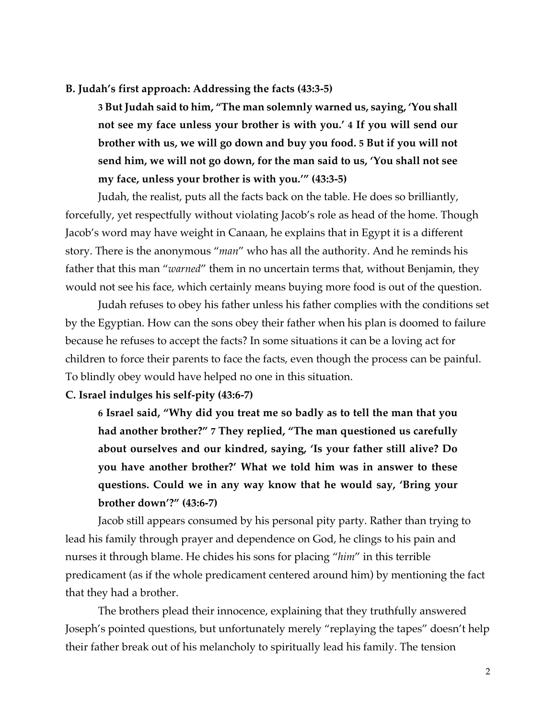#### **B. Judah's first approach: Addressing the facts (43:3-5)**

**3 But Judah said to him, "The man solemnly warned us, saying, 'You shall not see my face unless your brother is with you.' 4 If you will send our brother with us, we will go down and buy you food. 5 But if you will not send him, we will not go down, for the man said to us, 'You shall not see my face, unless your brother is with you.'" (43:3-5)**

Judah, the realist, puts all the facts back on the table. He does so brilliantly, forcefully, yet respectfully without violating Jacob's role as head of the home. Though Jacob's word may have weight in Canaan, he explains that in Egypt it is a different story. There is the anonymous "*man*" who has all the authority. And he reminds his father that this man "*warned*" them in no uncertain terms that, without Benjamin, they would not see his face, which certainly means buying more food is out of the question.

Judah refuses to obey his father unless his father complies with the conditions set by the Egyptian. How can the sons obey their father when his plan is doomed to failure because he refuses to accept the facts? In some situations it can be a loving act for children to force their parents to face the facts, even though the process can be painful. To blindly obey would have helped no one in this situation.

#### **C. Israel indulges his self-pity (43:6-7)**

**6 Israel said, "Why did you treat me so badly as to tell the man that you had another brother?" 7 They replied, "The man questioned us carefully about ourselves and our kindred, saying, 'Is your father still alive? Do you have another brother?' What we told him was in answer to these questions. Could we in any way know that he would say, 'Bring your brother down'?" (43:6-7)**

Jacob still appears consumed by his personal pity party. Rather than trying to lead his family through prayer and dependence on God, he clings to his pain and nurses it through blame. He chides his sons for placing "*him*" in this terrible predicament (as if the whole predicament centered around him) by mentioning the fact that they had a brother.

The brothers plead their innocence, explaining that they truthfully answered Joseph's pointed questions, but unfortunately merely "replaying the tapes" doesn't help their father break out of his melancholy to spiritually lead his family. The tension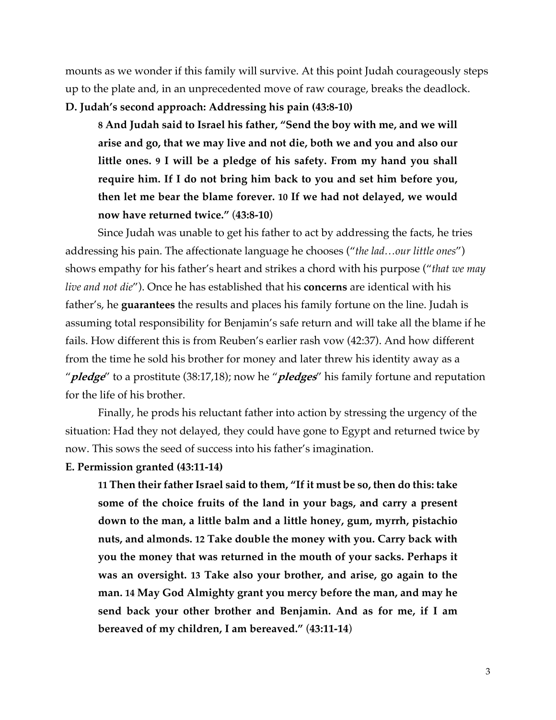mounts as we wonder if this family will survive. At this point Judah courageously steps up to the plate and, in an unprecedented move of raw courage, breaks the deadlock. **D. Judah's second approach: Addressing his pain (43:8-10)**

**8 And Judah said to Israel his father, "Send the boy with me, and we will arise and go, that we may live and not die, both we and you and also our little ones. 9 I will be a pledge of his safety. From my hand you shall require him. If I do not bring him back to you and set him before you, then let me bear the blame forever. 10 If we had not delayed, we would now have returned twice."** (**43:8-10**)

Since Judah was unable to get his father to act by addressing the facts, he tries addressing his pain. The affectionate language he chooses ("*the lad…our little ones*") shows empathy for his father's heart and strikes a chord with his purpose ("*that we may live and not die*"). Once he has established that his **concerns** are identical with his father's, he **guarantees** the results and places his family fortune on the line. Judah is assuming total responsibility for Benjamin's safe return and will take all the blame if he fails. How different this is from Reuben's earlier rash vow (42:37). And how different from the time he sold his brother for money and later threw his identity away as a "**pledge**" to a prostitute (38:17,18); now he "**pledges**" his family fortune and reputation for the life of his brother.

Finally, he prods his reluctant father into action by stressing the urgency of the situation: Had they not delayed, they could have gone to Egypt and returned twice by now. This sows the seed of success into his father's imagination.

#### **E. Permission granted (43:11-14)**

**11 Then their father Israel said to them, "If it must be so, then do this: take some of the choice fruits of the land in your bags, and carry a present down to the man, a little balm and a little honey, gum, myrrh, pistachio nuts, and almonds. 12 Take double the money with you. Carry back with you the money that was returned in the mouth of your sacks. Perhaps it was an oversight. 13 Take also your brother, and arise, go again to the man. 14 May God Almighty grant you mercy before the man, and may he send back your other brother and Benjamin. And as for me, if I am bereaved of my children, I am bereaved."** (**43:11-14**)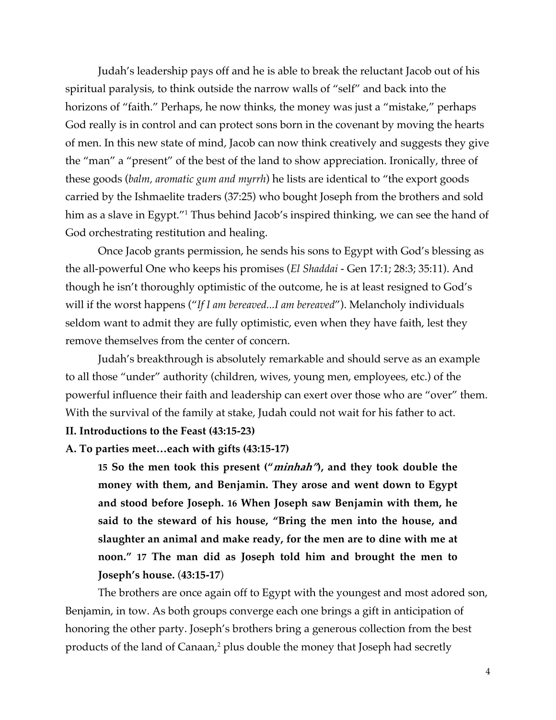Judah's leadership pays off and he is able to break the reluctant Jacob out of his spiritual paralysis, to think outside the narrow walls of "self" and back into the horizons of "faith." Perhaps, he now thinks, the money was just a "mistake," perhaps God really is in control and can protect sons born in the covenant by moving the hearts of men. In this new state of mind, Jacob can now think creatively and suggests they give the "man" a "present" of the best of the land to show appreciation. Ironically, three of these goods (*balm, aromatic gum and myrrh*) he lists are identical to "the export goods carried by the Ishmaelite traders (37:25) who bought Joseph from the brothers and sold him as a slave in Egypt."<sup>1</sup> Thus behind Jacob's inspired thinking, we can see the hand of God orchestrating restitution and healing.

Once Jacob grants permission, he sends his sons to Egypt with God's blessing as the all-powerful One who keeps his promises (*El Shaddai* - Gen 17:1; 28:3; 35:11). And though he isn't thoroughly optimistic of the outcome, he is at least resigned to God's will if the worst happens ("*If I am bereaved...I am bereaved*"). Melancholy individuals seldom want to admit they are fully optimistic, even when they have faith, lest they remove themselves from the center of concern.

Judah's breakthrough is absolutely remarkable and should serve as an example to all those "under" authority (children, wives, young men, employees, etc.) of the powerful influence their faith and leadership can exert over those who are "over" them. With the survival of the family at stake, Judah could not wait for his father to act. **II. Introductions to the Feast (43:15-23)**

#### **A. To parties meet…each with gifts (43:15-17)**

**15 So the men took this present ("minhah"), and they took double the money with them, and Benjamin. They arose and went down to Egypt and stood before Joseph. 16 When Joseph saw Benjamin with them, he said to the steward of his house, "Bring the men into the house, and slaughter an animal and make ready, for the men are to dine with me at noon." 17 The man did as Joseph told him and brought the men to Joseph's house.** (**43:15-17**)

The brothers are once again off to Egypt with the youngest and most adored son, Benjamin, in tow. As both groups converge each one brings a gift in anticipation of honoring the other party. Joseph's brothers bring a generous collection from the best products of the land of Canaan,<sup>2</sup> plus double the money that Joseph had secretly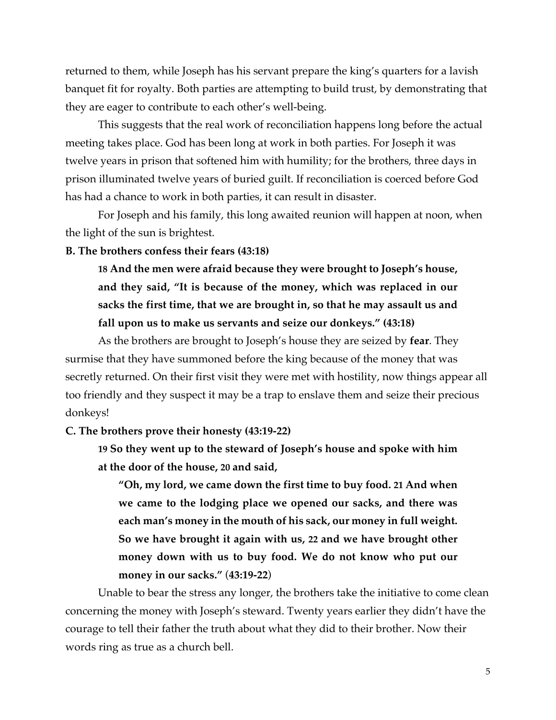returned to them, while Joseph has his servant prepare the king's quarters for a lavish banquet fit for royalty. Both parties are attempting to build trust, by demonstrating that they are eager to contribute to each other's well-being.

This suggests that the real work of reconciliation happens long before the actual meeting takes place. God has been long at work in both parties. For Joseph it was twelve years in prison that softened him with humility; for the brothers, three days in prison illuminated twelve years of buried guilt. If reconciliation is coerced before God has had a chance to work in both parties, it can result in disaster.

For Joseph and his family, this long awaited reunion will happen at noon, when the light of the sun is brightest.

### **B. The brothers confess their fears (43:18)**

**18 And the men were afraid because they were brought to Joseph's house, and they said, "It is because of the money, which was replaced in our sacks the first time, that we are brought in, so that he may assault us and fall upon us to make us servants and seize our donkeys." (43:18)**

As the brothers are brought to Joseph's house they are seized by **fear**. They surmise that they have summoned before the king because of the money that was secretly returned. On their first visit they were met with hostility, now things appear all too friendly and they suspect it may be a trap to enslave them and seize their precious donkeys!

**C. The brothers prove their honesty (43:19-22)**

**19 So they went up to the steward of Joseph's house and spoke with him at the door of the house, 20 and said,**

**"Oh, my lord, we came down the first time to buy food. 21 And when we came to the lodging place we opened our sacks, and there was each man's money in the mouth of his sack, our money in full weight. So we have brought it again with us, 22 and we have brought other money down with us to buy food. We do not know who put our money in our sacks."** (**43:19-22**)

Unable to bear the stress any longer, the brothers take the initiative to come clean concerning the money with Joseph's steward. Twenty years earlier they didn't have the courage to tell their father the truth about what they did to their brother. Now their words ring as true as a church bell.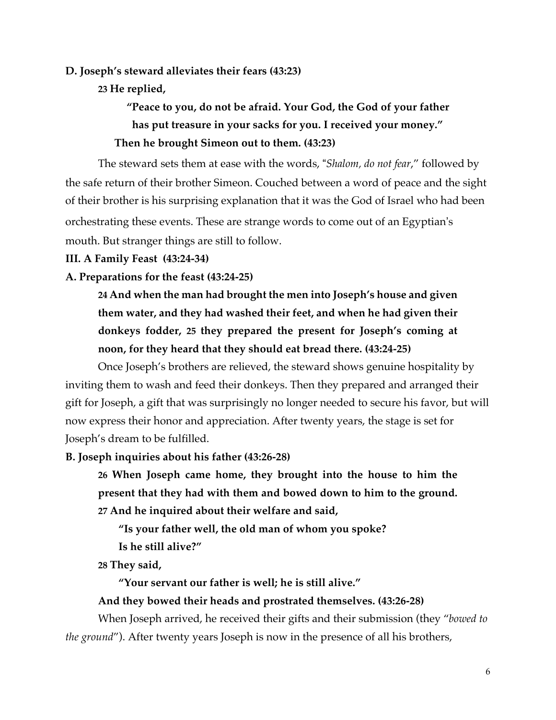**D. Joseph's steward alleviates their fears (43:23)**

**23 He replied,**

**"Peace to you, do not be afraid. Your God, the God of your father has put treasure in your sacks for you. I received your money." Then he brought Simeon out to them. (43:23)**

The steward sets them at ease with the words, "*Shalom, do not fear*," followed by the safe return of their brother Simeon. Couched between a word of peace and the sight of their brother is his surprising explanation that it was the God of Israel who had been orchestrating these events. These are strange words to come out of an Egyptian's mouth. But stranger things are still to follow.

#### **III. A Family Feast (43:24-34)**

#### **A. Preparations for the feast (43:24-25)**

**24 And when the man had brought the men into Joseph's house and given them water, and they had washed their feet, and when he had given their donkeys fodder, 25 they prepared the present for Joseph's coming at noon, for they heard that they should eat bread there. (43:24-25)**

Once Joseph's brothers are relieved, the steward shows genuine hospitality by inviting them to wash and feed their donkeys. Then they prepared and arranged their gift for Joseph, a gift that was surprisingly no longer needed to secure his favor, but will now express their honor and appreciation. After twenty years, the stage is set for Joseph's dream to be fulfilled.

#### **B. Joseph inquiries about his father (43:26-28)**

**26 When Joseph came home, they brought into the house to him the present that they had with them and bowed down to him to the ground. 27 And he inquired about their welfare and said,**

**"Is your father well, the old man of whom you spoke? Is he still alive?"**

**28 They said,**

**"Your servant our father is well; he is still alive."**

#### **And they bowed their heads and prostrated themselves. (43:26-28)**

When Joseph arrived, he received their gifts and their submission (they "*bowed to the ground*"). After twenty years Joseph is now in the presence of all his brothers,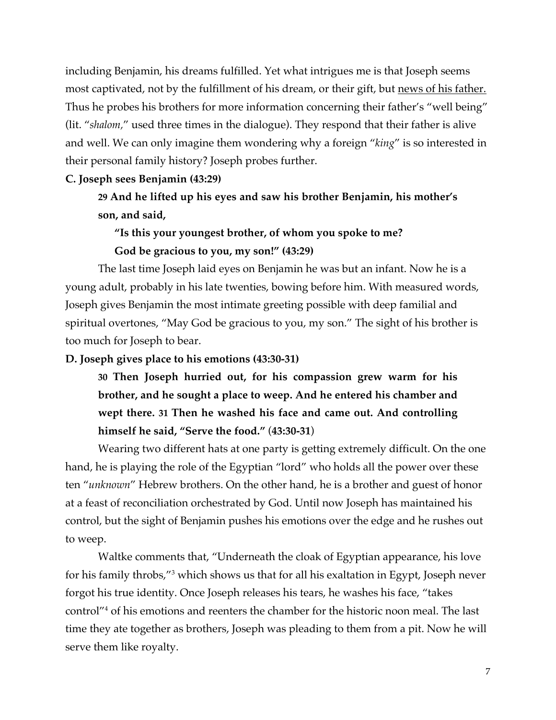including Benjamin, his dreams fulfilled. Yet what intrigues me is that Joseph seems most captivated, not by the fulfillment of his dream, or their gift, but news of his father. Thus he probes his brothers for more information concerning their father's "well being" (lit. "*shalom,*" used three times in the dialogue). They respond that their father is alive and well. We can only imagine them wondering why a foreign "*king*" is so interested in their personal family history? Joseph probes further.

## **C. Joseph sees Benjamin (43:29)**

**29 And he lifted up his eyes and saw his brother Benjamin, his mother's son, and said,**

# **"Is this your youngest brother, of whom you spoke to me? God be gracious to you, my son!" (43:29)**

The last time Joseph laid eyes on Benjamin he was but an infant. Now he is a young adult, probably in his late twenties, bowing before him. With measured words, Joseph gives Benjamin the most intimate greeting possible with deep familial and spiritual overtones, "May God be gracious to you, my son." The sight of his brother is too much for Joseph to bear.

## **D. Joseph gives place to his emotions (43:30-31)**

**30 Then Joseph hurried out, for his compassion grew warm for his brother, and he sought a place to weep. And he entered his chamber and wept there. 31 Then he washed his face and came out. And controlling himself he said, "Serve the food."** (**43:30-31**)

Wearing two different hats at one party is getting extremely difficult. On the one hand, he is playing the role of the Egyptian "lord" who holds all the power over these ten "*unknown*" Hebrew brothers. On the other hand, he is a brother and guest of honor at a feast of reconciliation orchestrated by God. Until now Joseph has maintained his control, but the sight of Benjamin pushes his emotions over the edge and he rushes out to weep.

Waltke comments that, "Underneath the cloak of Egyptian appearance, his love for his family throbs,"3 which shows us that for all his exaltation in Egypt, Joseph never forgot his true identity. Once Joseph releases his tears, he washes his face, "takes control"4 of his emotions and reenters the chamber for the historic noon meal. The last time they ate together as brothers, Joseph was pleading to them from a pit. Now he will serve them like royalty.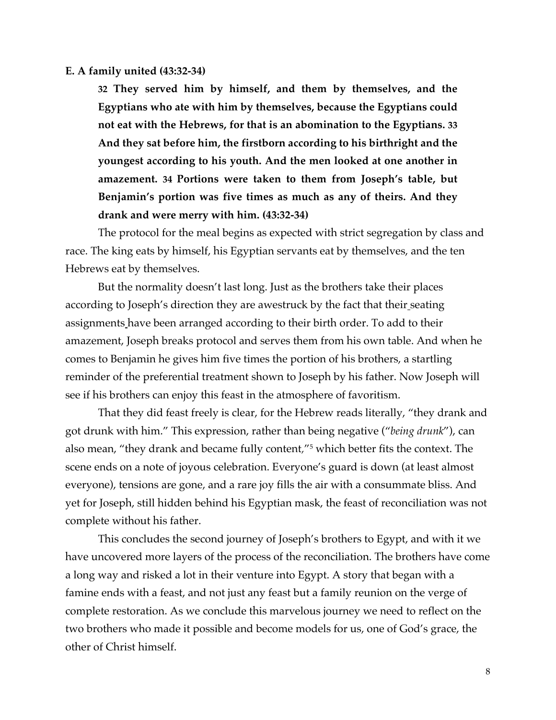#### **E. A family united (43:32-34)**

**32 They served him by himself, and them by themselves, and the Egyptians who ate with him by themselves, because the Egyptians could not eat with the Hebrews, for that is an abomination to the Egyptians. 33 And they sat before him, the firstborn according to his birthright and the youngest according to his youth. And the men looked at one another in amazement. 34 Portions were taken to them from Joseph's table, but Benjamin's portion was five times as much as any of theirs. And they drank and were merry with him. (43:32-34)**

The protocol for the meal begins as expected with strict segregation by class and race. The king eats by himself, his Egyptian servants eat by themselves, and the ten Hebrews eat by themselves.

But the normality doesn't last long. Just as the brothers take their places according to Joseph's direction they are awestruck by the fact that their seating assignments have been arranged according to their birth order. To add to their amazement, Joseph breaks protocol and serves them from his own table. And when he comes to Benjamin he gives him five times the portion of his brothers, a startling reminder of the preferential treatment shown to Joseph by his father. Now Joseph will see if his brothers can enjoy this feast in the atmosphere of favoritism.

That they did feast freely is clear, for the Hebrew reads literally, "they drank and got drunk with him." This expression, rather than being negative ("*being drunk*"), can also mean, "they drank and became fully content*,*"5 which better fits the context. The scene ends on a note of joyous celebration. Everyone's guard is down (at least almost everyone), tensions are gone, and a rare joy fills the air with a consummate bliss. And yet for Joseph, still hidden behind his Egyptian mask, the feast of reconciliation was not complete without his father.

This concludes the second journey of Joseph's brothers to Egypt, and with it we have uncovered more layers of the process of the reconciliation. The brothers have come a long way and risked a lot in their venture into Egypt. A story that began with a famine ends with a feast, and not just any feast but a family reunion on the verge of complete restoration. As we conclude this marvelous journey we need to reflect on the two brothers who made it possible and become models for us, one of God's grace, the other of Christ himself.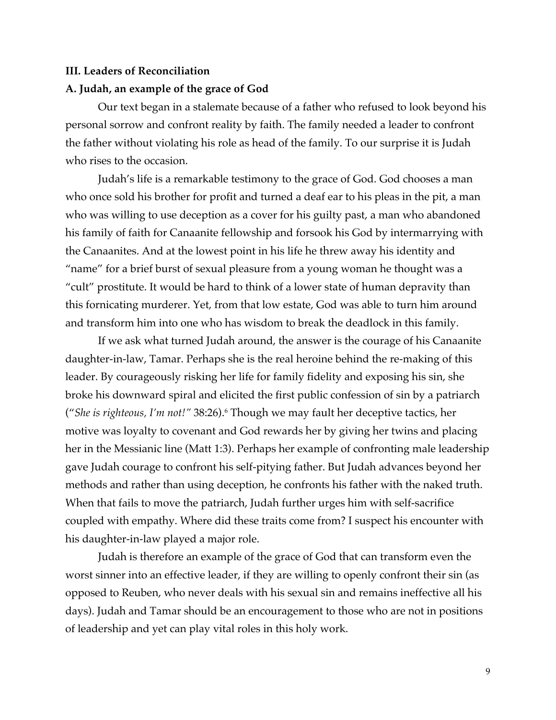#### **III. Leaders of Reconciliation**

#### **A. Judah, an example of the grace of God**

Our text began in a stalemate because of a father who refused to look beyond his personal sorrow and confront reality by faith. The family needed a leader to confront the father without violating his role as head of the family. To our surprise it is Judah who rises to the occasion.

Judah's life is a remarkable testimony to the grace of God. God chooses a man who once sold his brother for profit and turned a deaf ear to his pleas in the pit, a man who was willing to use deception as a cover for his guilty past, a man who abandoned his family of faith for Canaanite fellowship and forsook his God by intermarrying with the Canaanites. And at the lowest point in his life he threw away his identity and "name" for a brief burst of sexual pleasure from a young woman he thought was a "cult" prostitute. It would be hard to think of a lower state of human depravity than this fornicating murderer. Yet, from that low estate, God was able to turn him around and transform him into one who has wisdom to break the deadlock in this family.

If we ask what turned Judah around, the answer is the courage of his Canaanite daughter-in-law, Tamar. Perhaps she is the real heroine behind the re-making of this leader. By courageously risking her life for family fidelity and exposing his sin, she broke his downward spiral and elicited the first public confession of sin by a patriarch ("*She is righteous, I'm not!"* 38:26).6 Though we may fault her deceptive tactics, her motive was loyalty to covenant and God rewards her by giving her twins and placing her in the Messianic line (Matt 1:3). Perhaps her example of confronting male leadership gave Judah courage to confront his self-pitying father. But Judah advances beyond her methods and rather than using deception, he confronts his father with the naked truth. When that fails to move the patriarch, Judah further urges him with self-sacrifice coupled with empathy. Where did these traits come from? I suspect his encounter with his daughter-in-law played a major role.

Judah is therefore an example of the grace of God that can transform even the worst sinner into an effective leader, if they are willing to openly confront their sin (as opposed to Reuben, who never deals with his sexual sin and remains ineffective all his days). Judah and Tamar should be an encouragement to those who are not in positions of leadership and yet can play vital roles in this holy work.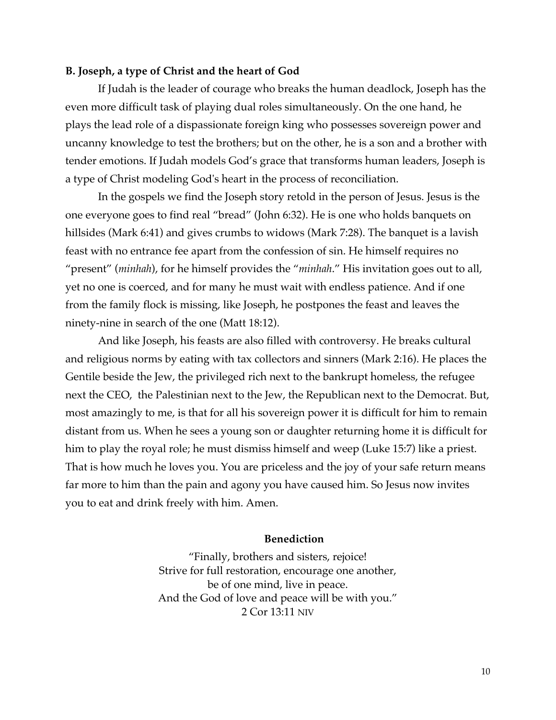#### **B. Joseph, a type of Christ and the heart of God**

If Judah is the leader of courage who breaks the human deadlock, Joseph has the even more difficult task of playing dual roles simultaneously. On the one hand, he plays the lead role of a dispassionate foreign king who possesses sovereign power and uncanny knowledge to test the brothers; but on the other, he is a son and a brother with tender emotions. If Judah models God's grace that transforms human leaders, Joseph is a type of Christ modeling God's heart in the process of reconciliation.

In the gospels we find the Joseph story retold in the person of Jesus. Jesus is the one everyone goes to find real "bread" (John 6:32). He is one who holds banquets on hillsides (Mark 6:41) and gives crumbs to widows (Mark 7:28). The banquet is a lavish feast with no entrance fee apart from the confession of sin. He himself requires no "present" (*minhah*), for he himself provides the "*minhah*." His invitation goes out to all, yet no one is coerced, and for many he must wait with endless patience. And if one from the family flock is missing, like Joseph, he postpones the feast and leaves the ninety-nine in search of the one (Matt 18:12).

And like Joseph, his feasts are also filled with controversy. He breaks cultural and religious norms by eating with tax collectors and sinners (Mark 2:16). He places the Gentile beside the Jew, the privileged rich next to the bankrupt homeless, the refugee next the CEO, the Palestinian next to the Jew, the Republican next to the Democrat. But, most amazingly to me, is that for all his sovereign power it is difficult for him to remain distant from us. When he sees a young son or daughter returning home it is difficult for him to play the royal role; he must dismiss himself and weep (Luke 15:7) like a priest. That is how much he loves you. You are priceless and the joy of your safe return means far more to him than the pain and agony you have caused him. So Jesus now invites you to eat and drink freely with him. Amen.

#### **Benediction**

"Finally, brothers and sisters, rejoice! Strive for full restoration, encourage one another, be of one mind, live in peace. And the God of love and peace will be with you." 2 Cor 13:11 NIV